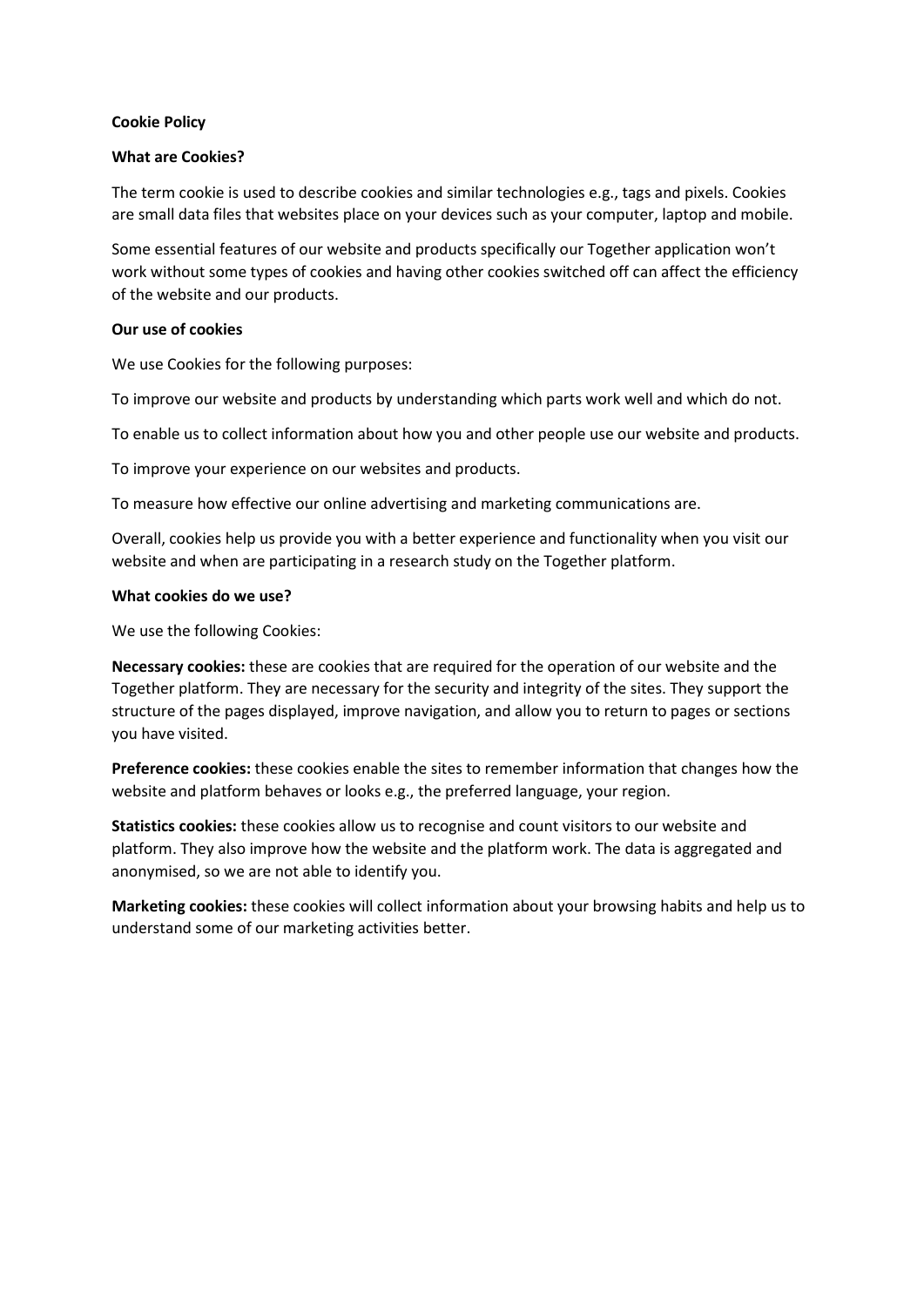### Cookie Policy

### What are Cookies?

The term cookie is used to describe cookies and similar technologies e.g., tags and pixels. Cookies are small data files that websites place on your devices such as your computer, laptop and mobile.

Some essential features of our website and products specifically our Together application won't work without some types of cookies and having other cookies switched off can affect the efficiency of the website and our products.

## Our use of cookies

We use Cookies for the following purposes:

To improve our website and products by understanding which parts work well and which do not.

To enable us to collect information about how you and other people use our website and products.

To improve your experience on our websites and products.

To measure how effective our online advertising and marketing communications are.

Overall, cookies help us provide you with a better experience and functionality when you visit our website and when are participating in a research study on the Together platform.

### What cookies do we use?

We use the following Cookies:

Necessary cookies: these are cookies that are required for the operation of our website and the Together platform. They are necessary for the security and integrity of the sites. They support the structure of the pages displayed, improve navigation, and allow you to return to pages or sections you have visited.

Preference cookies: these cookies enable the sites to remember information that changes how the website and platform behaves or looks e.g., the preferred language, your region.

Statistics cookies: these cookies allow us to recognise and count visitors to our website and platform. They also improve how the website and the platform work. The data is aggregated and anonymised, so we are not able to identify you.

Marketing cookies: these cookies will collect information about your browsing habits and help us to understand some of our marketing activities better.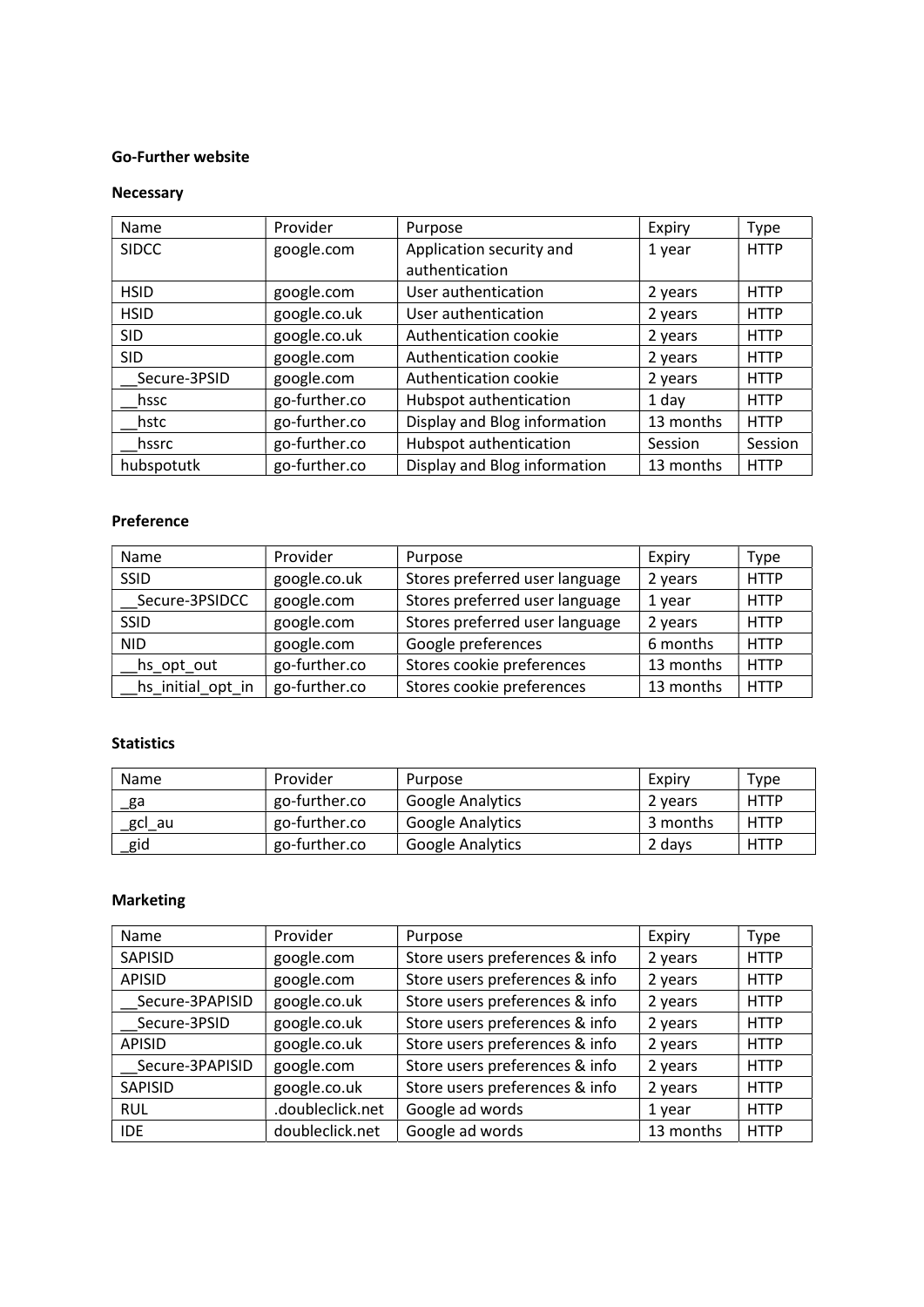#### Go-Further website

## Necessary

| Name         | Provider      | Purpose                      | Expiry    | <b>Type</b> |
|--------------|---------------|------------------------------|-----------|-------------|
| <b>SIDCC</b> | google.com    | Application security and     | 1 year    | <b>HTTP</b> |
|              |               | authentication               |           |             |
| <b>HSID</b>  | google.com    | User authentication          | 2 years   | <b>HTTP</b> |
| <b>HSID</b>  | google.co.uk  | User authentication          | 2 years   | <b>HTTP</b> |
| <b>SID</b>   | google.co.uk  | Authentication cookie        | 2 years   | <b>HTTP</b> |
| <b>SID</b>   | google.com    | Authentication cookie        | 2 years   | <b>HTTP</b> |
| Secure-3PSID | google.com    | Authentication cookie        | 2 years   | <b>HTTP</b> |
| hssc         | go-further.co | Hubspot authentication       | 1 day     | <b>HTTP</b> |
| hstc         | go-further.co | Display and Blog information | 13 months | <b>HTTP</b> |
| hssrc        | go-further.co | Hubspot authentication       | Session   | Session     |
| hubspotutk   | go-further.co | Display and Blog information | 13 months | <b>HTTP</b> |

## Preference

| Name              | Provider      | Purpose                        | Expiry    | Type        |
|-------------------|---------------|--------------------------------|-----------|-------------|
| <b>SSID</b>       | google.co.uk  | Stores preferred user language | 2 years   | <b>HTTP</b> |
| Secure-3PSIDCC    | google.com    | Stores preferred user language | 1 year    | <b>HTTP</b> |
| <b>SSID</b>       | google.com    | Stores preferred user language | 2 years   | <b>HTTP</b> |
| <b>NID</b>        | google.com    | Google preferences             | 6 months  | <b>HTTP</b> |
| hs_opt_out        | go-further.co | Stores cookie preferences      | 13 months | <b>HTTP</b> |
| hs_initial_opt_in | go-further.co | Stores cookie preferences      | 13 months | <b>HTTP</b> |

## **Statistics**

| Name     | Provider      | Purpose                 | Expiry   | Type        |
|----------|---------------|-------------------------|----------|-------------|
| _ga      | go-further.co | Google Analytics        | 2 years  | <b>HTTP</b> |
| _gcl_au  | go-further.co | <b>Google Analytics</b> | 3 months | <b>HTTP</b> |
| $\_$ gid | go-further.co | <b>Google Analytics</b> | 2 days   | <b>HTTP</b> |

# Marketing

| Name            | Provider         | Purpose                        | Expiry    | Type        |
|-----------------|------------------|--------------------------------|-----------|-------------|
| SAPISID         | google.com       | Store users preferences & info | 2 years   | <b>HTTP</b> |
| <b>APISID</b>   | google.com       | Store users preferences & info | 2 years   | <b>HTTP</b> |
| Secure-3PAPISID | google.co.uk     | Store users preferences & info | 2 years   | <b>HTTP</b> |
| Secure-3PSID    | google.co.uk     | Store users preferences & info | 2 years   | <b>HTTP</b> |
| <b>APISID</b>   | google.co.uk     | Store users preferences & info | 2 years   | <b>HTTP</b> |
| Secure-3PAPISID | google.com       | Store users preferences & info | 2 years   | <b>HTTP</b> |
| <b>SAPISID</b>  | google.co.uk     | Store users preferences & info | 2 years   | <b>HTTP</b> |
| <b>RUL</b>      | .doubleclick.net | Google ad words                | 1 year    | <b>HTTP</b> |
| <b>IDE</b>      | doubleclick.net  | Google ad words                | 13 months | <b>HTTP</b> |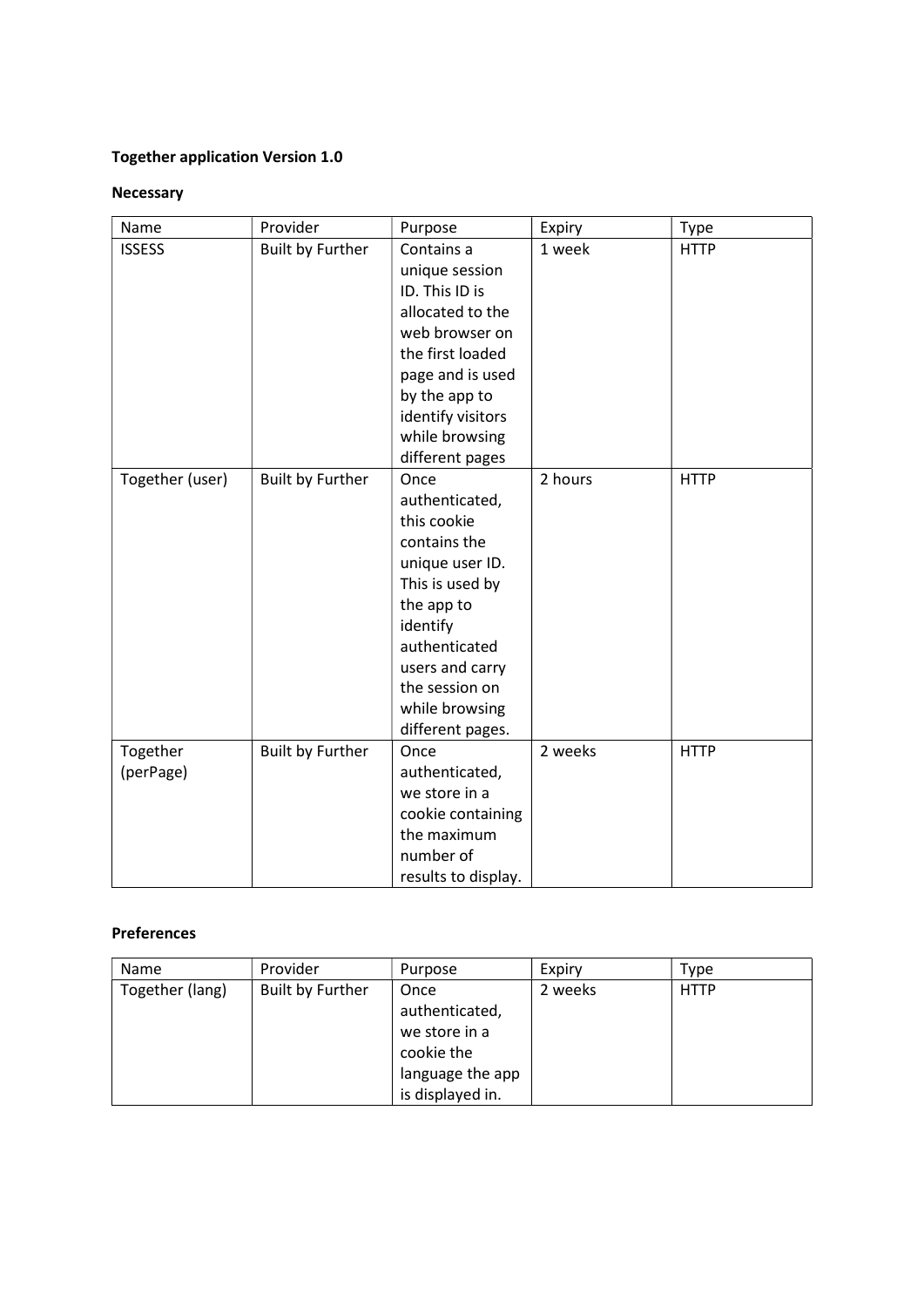# Together application Version 1.0

## Necessary

| Name            | Provider                | Purpose             | Expiry  | Type        |
|-----------------|-------------------------|---------------------|---------|-------------|
| <b>ISSESS</b>   | <b>Built by Further</b> | Contains a          | 1 week  | <b>HTTP</b> |
|                 |                         | unique session      |         |             |
|                 |                         | ID. This ID is      |         |             |
|                 |                         | allocated to the    |         |             |
|                 |                         | web browser on      |         |             |
|                 |                         | the first loaded    |         |             |
|                 |                         | page and is used    |         |             |
|                 |                         | by the app to       |         |             |
|                 |                         | identify visitors   |         |             |
|                 |                         | while browsing      |         |             |
|                 |                         | different pages     |         |             |
| Together (user) | <b>Built by Further</b> | Once                | 2 hours | <b>HTTP</b> |
|                 |                         | authenticated,      |         |             |
|                 |                         | this cookie         |         |             |
|                 |                         | contains the        |         |             |
|                 |                         | unique user ID.     |         |             |
|                 |                         | This is used by     |         |             |
|                 |                         | the app to          |         |             |
|                 |                         | identify            |         |             |
|                 |                         | authenticated       |         |             |
|                 |                         | users and carry     |         |             |
|                 |                         | the session on      |         |             |
|                 |                         | while browsing      |         |             |
|                 |                         | different pages.    |         |             |
| Together        | Built by Further        | Once                | 2 weeks | <b>HTTP</b> |
| (perPage)       |                         | authenticated,      |         |             |
|                 |                         | we store in a       |         |             |
|                 |                         | cookie containing   |         |             |
|                 |                         | the maximum         |         |             |
|                 |                         | number of           |         |             |
|                 |                         | results to display. |         |             |

## Preferences

| Name            | Provider         | Purpose          | Expiry  | Type        |
|-----------------|------------------|------------------|---------|-------------|
| Together (lang) | Built by Further | Once             | 2 weeks | <b>HTTP</b> |
|                 |                  | authenticated,   |         |             |
|                 |                  | we store in a    |         |             |
|                 |                  | cookie the       |         |             |
|                 |                  | language the app |         |             |
|                 |                  | is displayed in. |         |             |